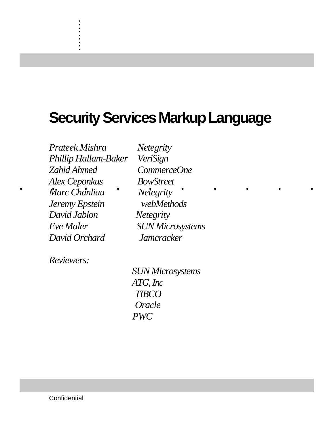# **Security Services Markup Language**

*Alex Ceponkus BowStreet*<br> *• Maxe Charliau • Meteority* • • • • • • • • *Prateek Mishra Netegrity Phillip Hallam-Baker VeriSign Zahid Ahmed CommerceOne Marc Chanliau Netegrity Jeremy Epstein webMethods David Jablon Netegrity Eve Maler SUN Microsystems David Orchard Jamcracker*

. . . . . . . . . .

*Reviewers:*

 *SUN Microsystems ATG, Inc TIBCO Oracle PWC*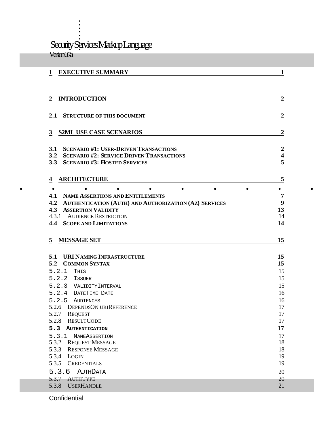. . . . . . Security Services Markup Language Version 0.7a

. . . .

| <b>INTRODUCTION</b><br>$\boldsymbol{2}$                                                       | 2                                           |
|-----------------------------------------------------------------------------------------------|---------------------------------------------|
| 2.1 STRUCTURE OF THIS DOCUMENT                                                                | $\boldsymbol{2}$                            |
| <b>S2ML USE CASE SCENARIOS</b><br>$\mathbf{3}$                                                | $\boldsymbol{2}$                            |
| 3.1 SCENARIO #1: USER-DRIVEN TRANSACTIONS<br>3.2 SCENARIO #2: SERVICE-DRIVEN TRANSACTIONS     | $\boldsymbol{2}$<br>$\overline{\mathbf{4}}$ |
| 3.3 SCENARIO #3: HOSTED SERVICES                                                              | 5                                           |
| <b>ARCHITECTURE</b><br>$\overline{\mathbf{4}}$                                                | 5                                           |
| $\bullet$                                                                                     | ٠                                           |
| <b>4.1 NAME ASSERTIONS AND ENTITLEMENTS</b>                                                   | $\overline{7}$<br>9                         |
| 4.2 AUTHENTICATION (AUTH) AND AUTHORIZATION (AZ) SERVICES<br><b>ASSERTION VALIDITY</b><br>4.3 | 13                                          |
|                                                                                               | 14                                          |
| 4.3.1 AUDIENCE RESTRICTION                                                                    |                                             |
| <b>4.4 SCOPE AND LIMITATIONS</b>                                                              |                                             |
| <b>MESSAGE SET</b><br>5                                                                       | 14<br>15                                    |
| 5.1 URI NAMING INFRASTRUCTURE                                                                 | 15                                          |
| 5.2 COMMON SYNTAX                                                                             | 15                                          |
| 5.2.1<br>THIS                                                                                 | 15                                          |
| 5.2.2 ISSUER                                                                                  | 15                                          |
| 5.2.3 VALIDITYINTERVAL                                                                        | 15                                          |
| 5.2.4 DATETIME DATE                                                                           | 16                                          |
| 5.2.5 AUDIENCES                                                                               | 16                                          |
| 5.2.6 DEPENDSON URIREFERENCE                                                                  | 17                                          |
| 5.2.7<br><b>REQUEST</b><br>5.2.8                                                              | 17                                          |
| <b>RESULTCODE</b><br>5.3<br><b>AUTHENTICATION</b>                                             | 17<br>17                                    |
| 5.3.1 NAMEASSERTION                                                                           | 17                                          |
| 5.3.2 REQUEST MESSAGE                                                                         | 18                                          |
| 5.3.3<br><b>RESPONSE MESSAGE</b>                                                              |                                             |
| 5.3.4<br>LOGIN                                                                                | 18<br>19                                    |
| 5.3.5<br><b>CREDENTIALS</b>                                                                   | 19                                          |
| 5.3.6<br><b>AUTHDATA</b><br><b>AUTHTYPE</b><br>5.3.7                                          | 20<br>20                                    |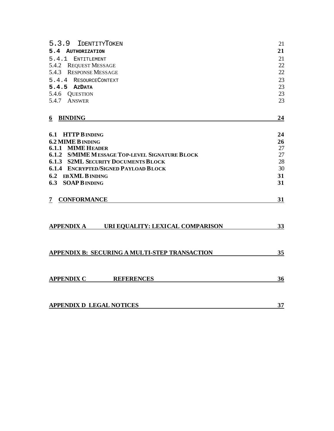| 5.3.9<br><b>IDENTITYTOKEN</b>                         | 21 |
|-------------------------------------------------------|----|
| 5.4<br><b>AUTHORIZATION</b>                           | 21 |
| 5.4.1<br><b>ENTITLEMENT</b>                           | 21 |
| 5.4.2<br><b>REQUEST MESSAGE</b>                       | 22 |
| <b>RESPONSE MESSAGE</b><br>5.4.3                      | 22 |
| 5.4.4 RESOURCECONTEXT                                 | 23 |
| $5.4.5$ AZDATA                                        | 23 |
| 5.4.6 QUESTION                                        | 23 |
| 5.4.7<br><b>ANSWER</b>                                | 23 |
| <b>BINDING</b><br>6                                   | 24 |
|                                                       |    |
| 6.1 HTTP B INDING                                     | 24 |
| <b>6.2 MIME B INDING</b>                              | 26 |
| <b>6.1.1 MIME HEADER</b>                              | 27 |
| <b>6.1.2 S/MIME MESSAGE TOP-LEVEL SIGNATURE BLOCK</b> | 27 |
| <b>6.1.3 S2ML SECURITY DOCUMENTS BLOCK</b>            | 28 |
| <b>6.1.4 ENCRYPTED/SIGNED PAYLOAD BLOCK</b>           | 30 |
| 6.2 EBXML B INDING                                    | 31 |
| <b>6.3 SOAP B INDING</b>                              | 31 |
| <b>CONFORMANCE</b><br>7                               | 31 |
| <b>APPENDIX A</b><br>URI EQUALITY: LEXICAL COMPARISON | 33 |
| APPENDIX B: SECURING A MULTI-STEP TRANSACTION         | 35 |
| <b>APPENDIX C</b><br><b>REFERENCES</b>                | 36 |
| <b>APPENDIX D LEGAL NOTICES</b>                       | 37 |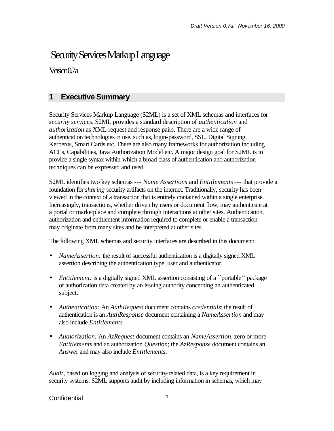## Security Services Markup Language

Version 0.7a

## **1 Executive Summary**

Security Services Markup Language (S2ML) is a set of XML schemas and interfaces for *security services*. S2ML provides a standard description of *authentication* and *authorization* as XML request and response pairs. There are a wide range of authentication technologies in use, such as, login-password, SSL, Digital Signing, Kerberos, Smart Cards etc. There are also many frameworks for authorization including ACLs, Capabilities, Java Authorization Model etc. A major design goal for S2ML is to provide a single syntax within which a broad class of authentication and authorization techniques can be expressed and used.

S2ML identifies two key schemas --- *Name Assertions* and *Entitlements* --- that provide a foundation for *sharing* security artifacts on the internet. Traditionally, security has been viewed in the context of a transaction that is entirely contained within a single enterprise. Increasingly, transactions, whether driven by users or document flow, may authenticate at a portal or marketplace and complete through interactions at other sites. Authentication, authorization and entitlement information required to complete or enable a transaction may originate from many sites and be interpreted at other sites.

The following XML schemas and security interfaces are described in this document:

- *NameAssertion:* the result of successful authentication is a digitally signed XML assertion describing the authentication type, user and authenticator.
- *Entitlement:* is a digitally signed XML assertion consisting of a "portable" package of authorization data created by an issuing authority concerning an authenticated subject.
- *Authentication:* An *AuthReques*t document contains *credentials*; the result of authentication is an *AuthResponse* document containing a *NameAssertion* and may also include *Entitlements*.
- *Authorization:* An *AzRequest* document contains an *NameAssertion*, zero or more *Entitlements* and an authorization *Question*; the *AzResponse* document contains an *Answe*r and may also include *Entitlements.*

*Audit*, based on logging and analysis of security-related data, is a key requirement in security systems. S2ML supports audit by including information in schemas, which may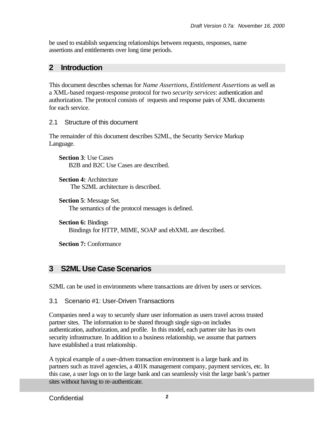be used to establish sequencing relationships between requests, responses, name assertions and entitlements over long time periods.

## **2 Introduction**

This document describes schemas for *Name Assertions*, *Entitlement Assertions* as well as a XML-based request-response protocol for two *security services*: authentication and authorization. The protocol consists of requests and response pairs of XML documents for each service.

2.1 Structure of this document

The remainder of this document describes S2ML, the Security Service Markup Language.

**Section 3**: Use Cases B2B and B2C Use Cases are described.

**Section 4: Architecture** The S2ML architecture is described.

**Section 5**: Message Set. The semantics of the protocol messages is defined.

**Section 6:** Bindings Bindings for HTTP, MIME, SOAP and ebXML are described.

**Section 7:** Conformance

## **3 S2ML Use Case Scenarios**

S2ML can be used in environments where transactions are driven by users or services.

3.1 Scenario #1: User-Driven Transactions

Companies need a way to securely share user information as users travel across trusted partner sites. The information to be shared through single sign-on includes authentication, authorization, and profile. In this model, each partner site has its own security infrastructure. In addition to a business relationship, we assume that partners have established a trust relationship.

A typical example of a user-driven transaction environment is a large bank and its partners such as travel agencies, a 401K management company, payment services, etc. In this case, a user logs on to the large bank and can seamlessly visit the large bank's partner sites without having to re-authenticate.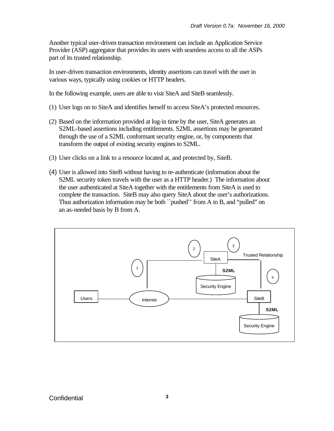Another typical user-driven transaction environment can include an Application Service Provider (ASP) aggregator that provides its users with seamless access to all the ASPs part of its trusted relationship.

In user-driven transaction environments, identity assertions can travel with the user in various ways, typically using cookies or HTTP headers.

In the following example, users are able to visit SiteA and SiteB seamlessly.

- (1) User logs on to SiteA and identifies herself to access SiteA's protected resources.
- (2) Based on the information provided at log-in time by the user, SiteA generates an S2ML-based assertions including entitlements. S2ML assertions may be generated through the use of a S2ML conformant security engine, or, by components that transform the output of existing security engines to S2ML.
- (3) User clicks on a link to a resource located at, and protected by, SiteB.
- (4) User is allowed into SiteB without having to re-authenticate (information about the S2ML security token travels with the user as a HTTP header.) The information about the user authenticated at SiteA together with the entitlements from SiteA is used to complete the transaction. SiteB may also query SiteA about the user's authorizations. Thus authorization information may be both ``pushed'' from A to B, and "pulled" on an as-needed basis by B from A.

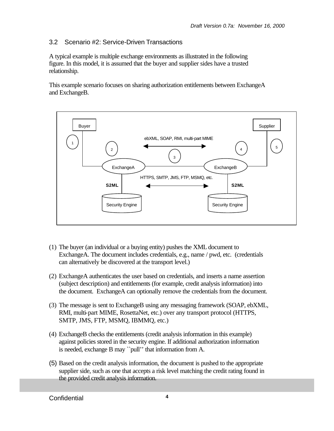## 3.2 Scenario #2: Service-Driven Transactions

A typical example is multiple exchange environments as illustrated in the following figure. In this model, it is assumed that the buyer and supplier sides have a trusted relationship.

This example scenario focuses on sharing authorization entitlements between ExchangeA and ExchangeB.



- (1) The buyer (an individual or a buying entity) pushes the XML document to ExchangeA. The document includes credentials, e.g., name / pwd, etc. (credentials can alternatively be discovered at the transport level.)
- (2) ExchangeA authenticates the user based on credentials, and inserts a name assertion (subject description) and entitlements (for example, credit analysis information) into the document. ExchangeA can optionally remove the credentials from the document.
- (3) The message is sent to ExchangeB using any messaging framework (SOAP, ebXML, RMI, multi-part MIME, RosettaNet, etc.) over any transport protocol (HTTPS, SMTP, JMS, FTP, MSMQ, IBMMQ, etc.)
- (4) ExchangeB checks the entitlements (credit analysis information in this example) against policies stored in the security engine. If additional authorization information is needed, exchange B may ``pull'' that information from A.
- (5) Based on the credit analysis information, the document is pushed to the appropriate supplier side, such as one that accepts a risk level matching the credit rating found in the provided credit analysis information.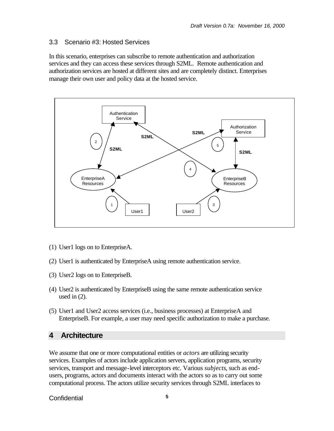#### 3.3 Scenario #3: Hosted Services

In this scenario, enterprises can subscribe to remote authentication and authorization services and they can access these services through S2ML. Remote authentication and authorization services are hosted at different sites and are completely distinct. Enterprises manage their own user and policy data at the hosted service.



- (1) User1 logs on to EnterpriseA.
- (2) User1 is authenticated by EnterpriseA using remote authentication service.
- (3) User2 logs on to EnterpriseB.
- (4) User2 is authenticated by EnterpriseB using the same remote authentication service used in  $(2)$ .
- (5) User1 and User2 access services (i.e., business processes) at EnterpriseA and EnterpriseB. For example, a user may need specific authorization to make a purchase.

#### **4 Architecture**

We assume that one or more computational entities or *actors* are utilizing security services. Examples of actors include application servers, application programs, security services, transport and message-level interceptors etc. Various *subjects*, such as endusers, programs, actors and documents interact with the actors so as to carry out some computational process. The actors utilize security services through S2ML interfaces to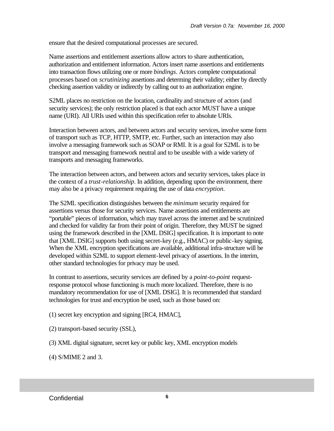ensure that the desired computational processes are secured.

Name assertions and entitlement assertions allow actors to share authentication, authorization and entitlement information. Actors insert name assertions and entitlements into transaction flows utilizing one or more *bindings*. Actors complete computational processes based on *scrutinizing* assertions and determing their validity; either by directly checking assertion validity or indirectly by calling out to an authorization engine.

S2ML places no restriction on the location, cardinality and structure of actors (and security services); the only restriction placed is that each actor MUST have a unique name (URI). All URIs used within this specification refer to absolute URIs.

Interaction between actors, and between actors and security services, involve some form of transport such as TCP, HTTP, SMTP, etc. Further, such an interaction may also involve a messaging framework such as SOAP or RMI. It is a goal for S2ML is to be transport and messaging framework neutral and to be useable with a wide variety of transports and messaging frameworks.

The interaction between actors, and between actors and security services, takes place in the context of a *trust-relationship*. In addition, depending upon the environment, there may also be a privacy requirement requiring the use of data *encryption*.

The S2ML specification distinguishes between the *minimum* security required for assertions versus those for security services. Name assertions and entitlements are "portable" pieces of information, which may travel across the internet and be scrutinized and checked for validity far from their point of origin. Therefore, they MUST be signed using the framework described in the [XML DSIG] specification. It is important to note that [XML DSIG] supports both using secret-key (e.g., HMAC) or public-key signing. When the XML encryption specifications are available, additional infra-structure will be developed within S2ML to support element-level privacy of assertions. In the interim, other standard technologies for privacy may be used.

In contrast to assertions, security services are defined by a *point-to-point* requestresponse protocol whose functioning is much more localized. Therefore, there is no mandatory recommendation for use of [XML DSIG]. It is recommended that standard technologies for trust and encryption be used, such as those based on:

(1) secret key encryption and signing [RC4, HMAC],

- (2) transport-based security (SSL),
- (3) XML digital signature, secret key or public key, XML encryption models
- (4) S/MIME 2 and 3.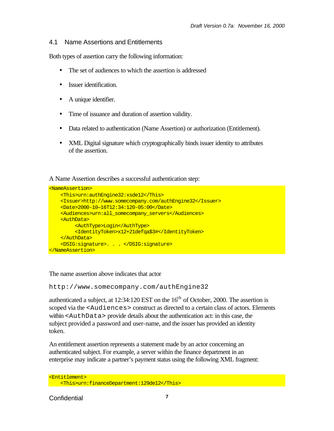#### 4.1 Name Assertions and Entitlements

Both types of assertion carry the following information:

- The set of audiences to which the assertion is addressed
- Issuer identification.
- A unique identifier.
- Time of issuance and duration of assertion validity.
- Data related to authentication (Name Assertion) or authorization (Entitlement).
- XML Digital signature which cryptographically binds issuer identity to attributes of the assertion.

A Name Assertion describes a successful authentication step:

```
<NameAssertion>
     <This>urn:authEngine32:xsde12</This> 
     <Issuer>http://www.somecompany.com/authEngine32</Issuer>
     <Date>2000-10—16T12:34:120-05:00</Date>
    <Audiences>urn:all_somecompany_servers</Audiences> 
    <AuthData>
          <AuthType>Login</AuthType>
          <IdentityToken>x12+21defqa$3#</IdentityToken>
    </AuthData>
     <DSIG:signature>. . . </DSIG:signature> 
</NameAssertion>
```
The name assertion above indicates that actor

http://www.somecompany.com/authEngine32

authenticated a subject, at  $12:34:120$  EST on the  $16<sup>th</sup>$  of October, 2000. The assertion is scoped via the <Audiences> construct as directed to a certain class of actors. Elements within <AuthData> provide details about the authentication act: in this case, the subject provided a password and user-name, and the issuer has provided an identity token.

An entitlement assertion represents a statement made by an actor concerning an authenticated subject. For example, a server within the finance department in an enterprise may indicate a partner's payment status using the following XML fragment:

```
<Entitlement>
 <This>urn:financeDepartment:129de12</This>
```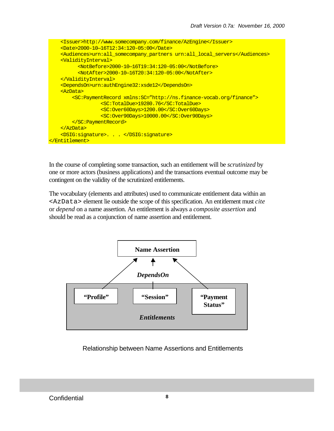<Issuer>http://www.somecompany.com/finance/AzEngine</Issuer> <Date>2000-10—16T12:34:120-05:00</Date> <Audiences>urn:all\_somecompany\_partners urn:all\_local\_servers</Audiences> <ValidityInterval> <NotBefore>2000-10—16T19:34:120-05:00</NotBefore> <NotAfter>2000-10—16T20:34:120-05:00</NotAfter> </ValidityInterval> <DependsOn>urn:authEngine32:xsde12</DependsOn> <AzData> <SC:PaymentRecord xmlns:SC="http://ns.finance-vocab.org/finance"> <SC:TotalDue>19280.76</SC:TotalDue> <SC:Over60Days>1200.00</SC:Over60Days> <SC:Over90Days>10000.00</SC:Over90Days> </SC:PaymentRecord> </AzData> <DSIG:signature>. . . </DSIG:signature> </Entitlement>

In the course of completing some transaction, such an entitlement will be *scrutinized* by one or more actors (business applications) and the transactions eventual outcome may be contingent on the validity of the scrutinized entitlements.

The vocabulary (elements and attributes) used to communicate entitlement data within an <AzData> element lie outside the scope of this specification. An entitlement must *cite* or *depend* on a name assertion. An entitlement is always a *composite assertion* and should be read as a conjunction of name assertion and entitlement.



Relationship between Name Assertions and Entitlements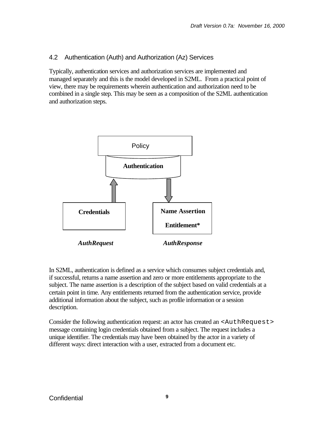## 4.2 Authentication (Auth) and Authorization (Az) Services

Typically, authentication services and authorization services are implemented and managed separately and this is the model developed in S2ML. From a practical point of view, there may be requirements wherein authentication and authorization need to be combined in a single step. This may be seen as a composition of the S2ML authentication and authorization steps.



In S2ML, authentication is defined as a service which consumes subject credentials and, if successful, returns a name assertion and zero or more entitlements appropriate to the subject. The name assertion is a description of the subject based on valid credentials at a certain point in time. Any entitlements returned from the authentication service, provide additional information about the subject, such as profile information or a session description.

Consider the following authentication request: an actor has created an <AuthRequest> message containing login credentials obtained from a subject. The request includes a unique identifier. The credentials may have been obtained by the actor in a variety of different ways: direct interaction with a user, extracted from a document etc.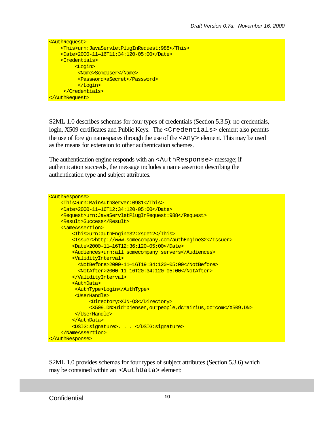```
<AuthRequest>
     <This>urn:JavaServletPlugInRequest:988</This> 
     <Date>2000-11—16T11:34:120-05:00</Date>
     <Credentials>
         <Login>
          <Name>SomeUser</Name>
          <Password>aSecret</Password>
          </Login>
     </Credentials>
</AuthRequest>
```
S2ML 1.0 describes schemas for four types of credentials (Section 5.3.5): no credentials, login, X509 certificates and Public Keys. The <Credentials> element also permits the use of foreign namespaces through the use of the <Any> element. This may be used as the means for extension to other authentication schemes.

The authentication engine responds with an <AuthResponse> message; if authentication succeeds, the message includes a name assertion describing the authentication type and subject attributes.

```
<AuthResponse>
    <This>urn:MainAuthServer:0981</This>
    <Date>2000-11—16T12:34:120-05:00</Date>
    <Request>urn:JavaServletPlugInRequest:988</Request> 
    <Result>Success</Result>
    <NameAssertion>
        <This>urn:authEngine32:xsde12</This> 
        <Issuer>http://www.somecompany.com/authEngine32</Issuer>
        <Date>2000-11—16T12:36:120-05:00</Date>
        <Audiences>urn:all_somecompany_servers</Audiences>
        <ValidityInterval>
           <NotBefore>2000-11—16T19:34:120-05:00</NotBefore>
          <NotAfter>2000-11—16T20:34:120-05:00</NotAfter>
        </ValidityInterval> 
         <AuthData>
         <AuthType>Login</AuthType>
         <UserHandle>
               <Directory>XJN-Q3</Directory>
               <X509.DN>uid=bjensen,ou=people,dc=airius,dc=com</X509.DN> 
         </UserHandle>
        </AuthData>
        <DSIG:signature>. . . </DSIG:signature> 
    </NameAssertion>
</AuthResponse>
```
S2ML 1.0 provides schemas for four types of subject attributes (Section 5.3.6) which may be contained within an <AuthData> element: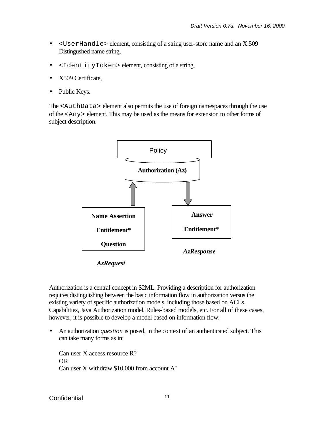- <UserHandle> element, consisting of a string user-store name and an X.509 Distingushed name string,
- <IdentityToken> element, consisting of a string,
- X509 Certificate,
- Public Keys.

The <AuthData> element also permits the use of foreign namespaces through the use of the <Any> element. This may be used as the means for extension to other forms of subject description.



*AzRequest*

Authorization is a central concept in S2ML. Providing a description for authorization requires distinguishing between the basic information flow in authorization versus the existing variety of specific authorization models, including those based on ACLs, Capabilities, Java Authorization model, Rules-based models, etc. For all of these cases, however, it is possible to develop a model based on information flow:

• An authorization *question* is posed, in the context of an authenticated subject. This can take many forms as in:

Can user X access resource R? OR Can user X withdraw \$10,000 from account A?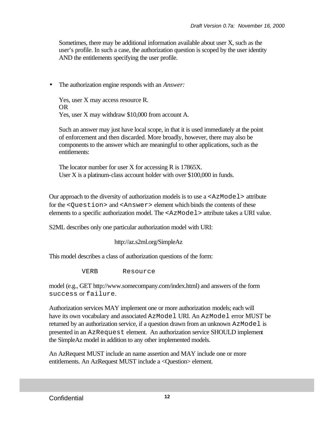Sometimes, there may be additional information available about user X, such as the user's profile. In such a case, the authorization question is scoped by the user identity AND the entitlements specifying the user profile.

• The authorization engine responds with an *Answer:*

Yes, user X may access resource R. OR Yes, user X may withdraw \$10,000 from account A.

Such an answer may just have local scope, in that it is used immediately at the point of enforcement and then discarded. More broadly, however, there may also be components to the answer which are meaningful to other applications, such as the entitlements:

The locator number for user X for accessing R is 17865X. User X is a platinum-class account holder with over \$100,000 in funds.

Our approach to the diversity of authorization models is to use a  $\langle Az \rangle \sim A \times A$ for the <Question> and <Answer> element which binds the contents of these elements to a specific authorization model. The  $\langle Az \rangle \sim A \times A$  attribute takes a URI value.

S2ML describes only one particular authorization model with URI:

http://az.s2ml.org/SimpleAz

This model describes a class of authorization questions of the form:

VERB Resource

model (e.g., GET http://www.somecompany.com/index.html) and answers of the form success or failure.

Authorization services MAY implement one or more authorization models; each will have its own vocabulary and associated AzModel URI. An AzModel error MUST be returned by an authorization service, if a question drawn from an unknown  $Az$ Model is presented in an AzRequest element. An authorization service SHOULD implement the SimpleAz model in addition to any other implemented models.

An AzRequest MUST include an name assertion and MAY include one or more entitlements. An AzRequest MUST include a <Question> element.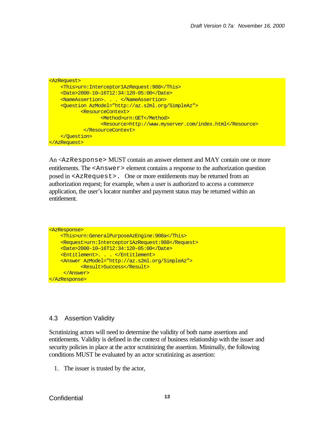```
<AzRequest>
     <This>urn:Interceptor1AzRequest:988</This> 
     <Date>2000-10—16T12:34:120-05:00</Date>
     <NameAssertion>. . . </NameAssertion> 
     <Question AzModel="http://az.s2ml.org/SimpleAz">
            <ResourceContext>
                   <Method>urn:GET</Method>
                   <Resource>http://www.myserver.com/index.html</Resource>
            </ResourceContext>
     </Question>
</AzRequest>
```
An <AzResponse> MUST contain an answer element and MAY contain one or more entitlements. The  $\langle$ Answer  $\rangle$  element contains a response to the authorization question posed in <AzRequest>. One or more entitlements may be returned from an authorization request; for example, when a user is authorized to access a commerce application, the user's locator number and payment status may be returned within an entitlement.

```
<AzResponse>
    <This>urn:GeneralPurposeAzEngine:908a</This>
    <Request>urn:Interceptor1AzRequest:988</Request> 
    <Date>2000-10—16T12:34:120-05:00</Date>
    <Entitlement>. . . </Entitlement> 
    <Answer AzModel="http://az.s2ml.org/SimpleAz">
           <Result>Success</Result>
     </Answer>
</AzResponse>
```
#### 4.3 Assertion Validity

Scrutinizing actors will need to determine the validity of both name assertions and entitlements. Validity is defined in the context of business relationship with the issuer and security policies in place at the actor scrutinizing the assertion. Minimally, the following conditions MUST be evaluated by an actor scrutinizing as assertion:

1. The issuer is trusted by the actor,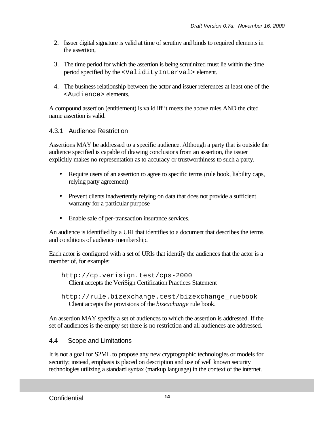- 2. Issuer digital signature is valid at time of scrutiny and binds to required elements in the assertion,
- 3. The time period for which the assertion is being scrutinized must lie within the time period specified by the <ValidityInterval> element.
- 4. The business relationship between the actor and issuer references at least one of the <Audience> elements.

A compound assertion (entitlement) is valid iff it meets the above rules AND the cited name assertion is valid.

## 4.3.1 Audience Restriction

Assertions MAY be addressed to a specific audience. Although a party that is outside the audience specified is capable of drawing conclusions from an assertion, the issuer explicitly makes no representation as to accuracy or trustworthiness to such a party.

- Require users of an assertion to agree to specific terms (rule book, liability caps, relying party agreement)
- Prevent clients inadvertently relying on data that does not provide a sufficient warranty for a particular purpose
- Enable sale of per-transaction insurance services.

An audience is identified by a URI that identifies to a document that describes the terms and conditions of audience membership.

Each actor is configured with a set of URIs that identify the audiences that the actor is a member of, for example:

```
http://cp.verisign.test/cps-2000
  Client accepts the VeriSign Certification Practices Statement
```
An assertion MAY specify a set of audiences to which the assertion is addressed. If the set of audiences is the empty set there is no restriction and all audiences are addressed.

## 4.4 Scope and Limitations

It is not a goal for S2ML to propose any new cryptographic technologies or models for security; instead, emphasis is placed on description and use of well known security technologies utilizing a standard syntax (markup language) in the context of the internet.

http://rule.bizexchange.test/bizexchange\_ruebook Client accepts the provisions of the *bizexchange* rule book.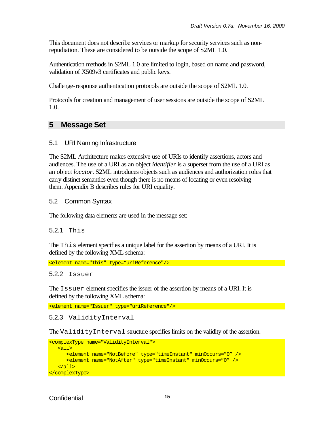This document does not describe services or markup for security services such as nonrepudiation. These are considered to be outside the scope of S2ML 1.0.

Authentication methods in S2ML 1.0 are limited to login, based on name and password, validation of X509v3 certificates and public keys.

Challenge-response authentication protocols are outside the scope of S2ML 1.0.

Protocols for creation and management of user sessions are outside the scope of S2ML 1.0.

## **5 Message Set**

#### 5.1 URI Naming Infrastructure

The S2ML Architecture makes extensive use of URIs to identify assertions, actors and audiences. The use of a URI as an object *identifier* is a superset from the use of a URI as an object *locator*. S2ML introduces objects such as audiences and authorization roles that carry distinct semantics even though there is no means of locating or even resolving them. Appendix B describes rules for URI equality.

#### 5.2 Common Syntax

The following data elements are used in the message set:

#### 5.2.1 This

The This element specifies a unique label for the assertion by means of a URI. It is defined by the following XML schema:

<element name="This" type="uriReference"/>

#### 5.2.2 Issuer

The Issuer element specifies the issuer of the assertion by means of a URI. It is defined by the following XML schema:

<element name="Issuer" type="uriReference"/>

#### 5.2.3 ValidityInterval

The ValidityInterval structure specifies limits on the validity of the assertion.

```
<complexType name="ValidityInterval">
    <all>
       <element name="NotBefore" type="timeInstant" minOccurs="0" />
       <element name="NotAfter" type="timeInstant" minOccurs="0" />
  \langleall\rangle</complexType>
```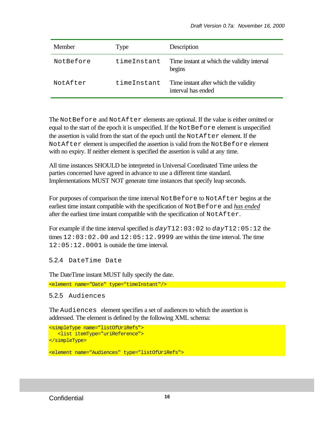| Member    | Type        | Description                                                 |
|-----------|-------------|-------------------------------------------------------------|
| NotBefore | timeInstant | Time instant at which the validity interval<br>begins       |
| NotAfter  | timeInstant | Time instant after which the validity<br>interval has ended |

The NotBefore and NotAfter elements are optional. If the value is either omitted or equal to the start of the epoch it is unspecified. If the  $\text{NotBefore element}$  is unspecified the assertion is valid from the start of the epoch until the  $NotAfter the$  element. If the NotAfter element is unspecified the assertion is valid from the NotBefore element with no expiry. If neither element is specified the assertion is valid at any time.

All time instances SHOULD be interpreted in Universal Coordinated Time unless the parties concerned have agreed in advance to use a different time standard. Implementations MUST NOT generate time instances that specify leap seconds.

For purposes of comparison the time interval NotBefore to NotAfter begins at the earliest time instant compatible with the specification of NotBefore and *has ended* after the earliest time instant compatible with the specification of NotAfter.

For example if the time interval specified is *day*T12:03:02 to *day*T12:05:12 the times  $12:03:02.00$  and  $12:05:12.9999$  are within the time interval. The time 12:05:12.0001 is outside the time interval.

```
5.2.4 DateTime Date
```
The DateTime instant MUST fully specify the date.

```
<element name="Date" type="timeInstant"/>
```
5.2.5 Audiences

The Audiences element specifies a set of audiences to which the assertion is addressed. The element is defined by the following XML schema:

```
<simpleType name="listOfUriRefs">
   <list itemType="uriReference">
</simpleType>
<element name="Audiences" type="listOfUriRefs">
```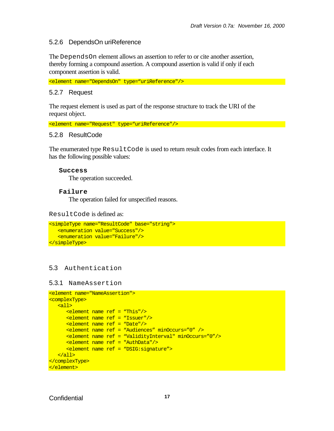#### 5.2.6 DependsOn uriReference

The DependsOn element allows an assertion to refer to or cite another assertion, thereby forming a compound assertion. A compound assertion is valid if only if each component assertion is valid.

<element name="DependsOn" type="uriReference"/>

#### 5.2.7 Request

The request element is used as part of the response structure to track the URI of the request object.

<element name="Request" type="uriReference"/>

#### 5.2.8 ResultCode

The enumerated type  $\text{ResultCode}$  is used to return result codes from each interface. It has the following possible values:

#### **Success**

The operation succeeded.

#### **Failure**

The operation failed for unspecified reasons.

ResultCode is defined as:

```
<simpleType name="ResultCode" base="string">
   <enumeration value="Success"/>
    <enumeration value="Failure"/>
</simpleType>
```
#### 5.3 Authentication

#### 5.3.1 NameAssertion

```
<element name="NameAssertion">
<complexType>
   <all>
      <element name ref = "This"/>
      <element name ref = "Issuer"/>
      <element name ref = "Date"/>
      <element name ref = "Audiences" minOccurs="0" />
      <element name ref = "ValidityInterval" minOccurs="0"/>
      <element name ref = "AuthData"/>
      <element name ref = "DSIG:signature"> 
   </all>
</complexType>
</element>
```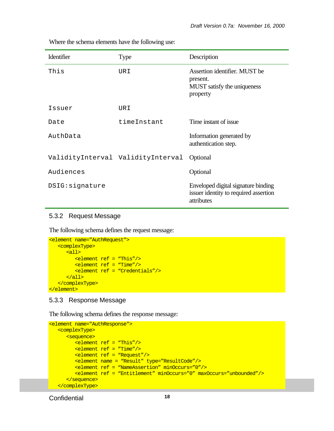| Identifier                        | <b>Type</b> | Description                                                                                |
|-----------------------------------|-------------|--------------------------------------------------------------------------------------------|
| This                              | URI         | Assertion identifier. MUST be<br>present.<br>MUST satisfy the uniqueness<br>property       |
| Issuer                            | URI         |                                                                                            |
| Date                              | timeInstant | Time instant of issue                                                                      |
| AuthData                          |             | Information generated by<br>authentication step.                                           |
| ValidityInterval ValidityInterval |             | Optional                                                                                   |
| Audiences                         |             | Optional                                                                                   |
| DSIG: signature                   |             | Enveloped digital signature binding<br>issuer identity to required assertion<br>attributes |

Where the schema elements have the following use:

#### 5.3.2 Request Message

The following schema defines the request message:

```
<element name="AuthRequest">
   <complexType>
      <all>
          <element ref = "This"/>
          <element ref = "Time"/>
         <element ref = "Credentials"/>
      \langleall\rangle </complexType>
</element>
```
#### 5.3.3 Response Message

The following schema defines the response message:

```
<element name="AuthResponse">
    <complexType>
       <sequence>
         <element ref = "This"/>
          <element ref = "Time"/>
         <element ref = "Request"/>
         <element name = "Result" type="ResultCode"/>
          <element ref = "NameAssertion" minOccurs="0"/>
          <element ref = "Entitlement" minOccurs="0" maxOccurs="unbounded"/> 
       </sequence>
    </complexType>
```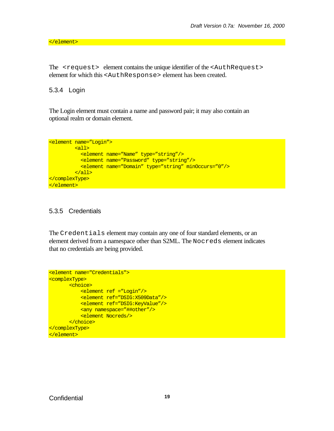</element>

The <request> element contains the unique identifier of the <AuthRequest> element for which this <AuthResponse> element has been created.

#### 5.3.4 Login

The Login element must contain a name and password pair; it may also contain an optional realm or domain element.

```
<element name="Login">
         <all>
           <element name="Name" type="string"/>
           <element name="Password" type="string"/>
           <element name="Domain" type="string" minOccurs="0"/>
         </all>
</complexType>
</element>
```
#### 5.3.5 Credentials

The Credentials element may contain any one of four standard elements, or an element derived from a namespace other than S2ML. The Nocreds element indicates that no credentials are being provided.

```
<element name="Credentials">
<complexType>
      <choice>
           <element ref ="Login"/>
           <element ref="DSIG:X509Data"/>
           <element ref="DSIG:KeyValue"/>
          <any namespace="##other"/>
           <element Nocreds/> 
       </choice>
</complexType>
</element>
```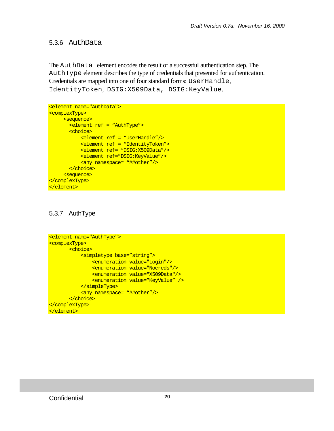#### 5.3.6 AuthData

The AuthData element encodes the result of a successful authentication step. The AuthType element describes the type of credentials that presented for authentication. Credentials are mapped into one of four standard forms: UserHandle, IdentityToken, DSIG:X509Data, DSIG:KeyValue.

```
<element name="AuthData">
<complexType>
     <sequence>
       <element ref = "AuthType">
       <choice>
           <element ref = "UserHandle"/>
           <element ref = "IdentityToken">
           <element ref= "DSIG:X509Data"/>
           <element ref="DSIG:KeyValue"/>
           <any namespace= "##other"/>
       </choice>
     <sequence>
</complexType>
</element>
```
## 5.3.7 AuthType

```
<element name="AuthType">
<complexType>
       <choice>
           <simpletype base="string">
               <enumeration value="Login"/>
               <enumeration value="Nocreds"/>
              <enumeration value="X509Data"/>
               <enumeration value="KeyValue" />
           </simpleType>
          <any namespace= "##other"/>
       </choice>
</complexType>
</element>
```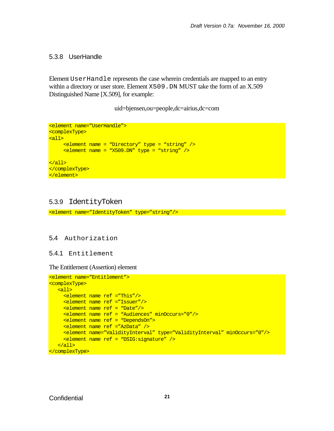#### 5.3.8 UserHandle

Element UserHandle represents the case wherein credentials are mapped to an entry within a directory or user store. Element  $X509$ . DN MUST take the form of an  $X.509$ Distinguished Name [X.509], for example:

uid=bjensen,ou=people,dc=airius,dc=com

```
<element name="UserHandle">
<complexType>
<all>
     <element name = "Directory" type = "string" />
     \epsilon <element name = "X509.DN" type = "string" />
\langleall\rangle</complexType>
</element>
```
#### 5.3.9 IdentityToken

<element name="IdentityToken" type="string"/>

#### 5.4 Authorization

5.4.1 Entitlement

The Entitlement (Assertion) element

```
<element name="Entitlement">
<complexType>
   <all>
     <element name ref ="This"/>
     <element name ref ="Issuer"/>
     <element name ref = "Date"/>
     <element name ref = "Audiences" minOccurs="0"/>
     <element name ref = "DependsOn">
     <element name ref ="AzData" />
     <element name="ValidityInterval" type="ValidityInterval" minOccurs="0"/>
     <element name ref = "DSIG:signature" />
   </all>
</complexType>
```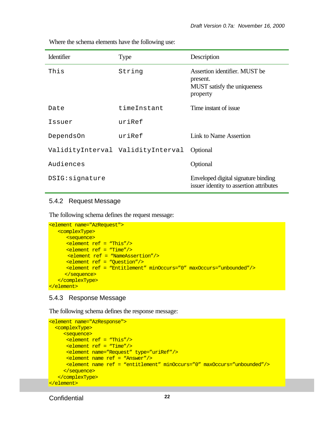| Where the schema elements have the following use: |  |
|---------------------------------------------------|--|
|---------------------------------------------------|--|

| Identifier      | <b>Type</b>                       | Description                                                                          |
|-----------------|-----------------------------------|--------------------------------------------------------------------------------------|
| This            | String                            | Assertion identifier. MUST be<br>present.<br>MUST satisfy the uniqueness<br>property |
| Date            | timeInstant                       | Time instant of issue                                                                |
| Issuer          | $ur$ i $Ref$                      |                                                                                      |
| DependsOn       | uriRef                            | Link to Name Assertion                                                               |
|                 | ValidityInterval ValidityInterval | Optional                                                                             |
| Audiences       |                                   | Optional                                                                             |
| DSIG: signature |                                   | Enveloped digital signature binding<br>issuer identity to assertion attributes       |

#### 5.4.2 Request Message

The following schema defines the request message:

```
<element name="AzRequest">
   <complexType>
      <sequence>
      <element ref = "This"/>
      <element ref = "Time"/>
      <element ref = "NameAssertion"/>
      <element ref = "Question"/>
      <element ref = "Entitlement" minOccurs="0" maxOccurs="unbounded"/>
      </sequence>
   </complexType>
</element>
```
#### 5.4.3 Response Message

The following schema defines the response message:

```
<element name="AzResponse">
  <complexType>
     <sequence>
      <element ref = "This"/>
      <element ref = "Time"/>
      <element name="Request" type="uriRef"/> 
      <element name ref = "Answer"/>
      <element name ref = "entitlement" minOccurs="0" maxOccurs="unbounded"/>
     </sequence>
   </complexType>
</element>
```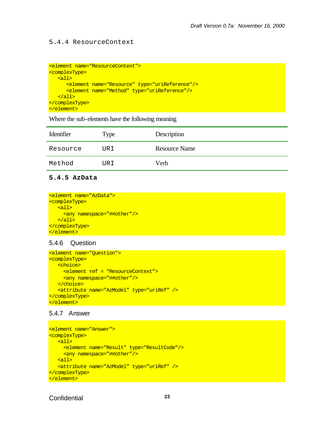#### 5.4.4 ResourceContext

```
<element name="ResourceContext">
<complexType>
    <all>
       <element name="Resource" type="uriReference"/>
       <element name="Method" type="uriReference"/>
  \langleall\rangle</complexType>
</element>
```
Where the sub-elements have the following meaning

| Identifier | Type | Description   |
|------------|------|---------------|
| Resource   | URI  | Resource Name |
| Method     | URI  | Verb          |

#### **5.4.5 AzData**

```
<element name="AzData">
<complexType>
  \leq \leq \leq \leq <any namespace="##other"/>
   </all>
</complexType>
</element>
```
#### 5.4.6 Question

```
<element name="Question">
<complexType>
   <choice>
     <element ref = "ResourceContext">
    <any namespace="##other"/>
   </choice>
   <attribute name="AzModel" type="uriRef" />
</complexType>
</element>
```
#### 5.4.7 Answer

```
<element name="Answer">
<complexType>
   <all>
     <element name="Result" type="ResultCode"/>
     <any namespace="##other"/>
   <all>
   <attribute name="AzModel" type="uriRef" />
</complexType>
</element>
```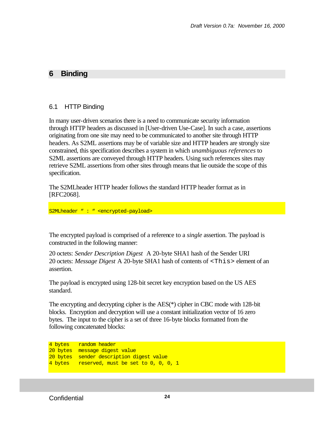## **6 Binding**

#### 6.1 HTTP Binding

In many user-driven scenarios there is a need to communicate security information through HTTP headers as discussed in [User-driven Use-Case]. In such a case, assertions originating from one site may need to be communicated to another site through HTTP headers. As S2ML assertions may be of variable size and HTTP headers are strongly size constrained, this specification describes a system in which *unambiguous references* to S2ML assertions are conveyed through HTTP headers. Using such references sites may retrieve S2ML assertions from other sites through means that lie outside the scope of this specification.

The S2MLheader HTTP header follows the standard HTTP header format as in [RFC2068].

S2MLheader " : " <encrypted-payload>

The encrypted payload is comprised of a reference to a *single* assertion. The payload is constructed in the following manner:

20 octets: *Sender Description Digest* A 20-byte SHA1 hash of the Sender URI 20 octets: *Message Digest* A 20-byte SHA1 hash of contents of <This> element of an assertion.

The payload is encrypted using 128-bit secret key encryption based on the US AES standard.

The encrypting and decrypting cipher is the AES(\*) cipher in CBC mode with 128-bit blocks. Encryption and decryption will use a constant initialization vector of 16 zero bytes. The input to the cipher is a set of three 16-byte blocks formatted from the following concatenated blocks:

4 bytes random header 20 bytes message digest value 20 bytes sender description digest value 4 bytes reserved, must be set to 0, 0, 0, 1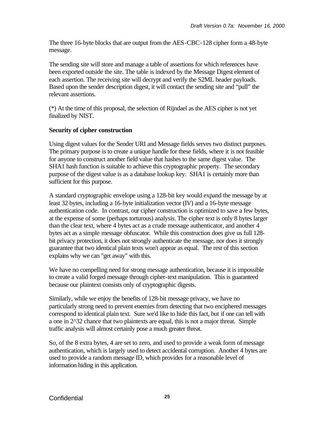The three 16-byte blocks that are output from the AES-CBC-128 cipher form a 48-byte message.

The sending site will store and manage a table of assertions for which references have been exported outside the site. The table is indexed by the Message Digest element of each assertion. The receiving site will decrypt and verify the S2ML header payloads. Based upon the sender description digest, it will contact the sending site and "pull" the relevant assertions.

(\*) At the time of this proposal, the selection of Rijndael as the AES cipher is not yet finalized by NIST.

#### **Security of cipher construction**

Using digest values for the Sender URI and Message fields serves two distinct purposes. The primary purpose is to create a unique handle for these fields, where it is not feasible for anyone to construct another field value that hashes to the same digest value. The SHA1 hash function is suitable to achieve this cryptographic property. The secondary purpose of the digest value is as a database lookup key. SHA1 is certainly more than sufficient for this purpose.

A standard cryptographic envelope using a 128-bit key would expand the message by at least 32 bytes, including a 16-byte initialization vector (IV) and a 16-byte message authentication code. In contrast, our cipher construction is optimized to save a few bytes, at the expense of some (perhaps torturous) analysis. The cipher text is only 8 bytes larger than the clear text, where 4 bytes act as a crude message authenticator, and another 4 bytes act as a simple message obfuscator. While this construction does give us full 128 bit privacy protection, it does not strongly authenticate the message, nor does it strongly guarantee that two identical plain texts won't appear as equal. The rest of this section explains why we can "get away" with this.

We have no compelling need for strong message authentication, because it is impossible to create a valid forged message through cipher-text manipulation. This is guaranteed because our plaintext consists only of cryptographic digests.

Similarly, while we enjoy the benefits of 128-bit message privacy, we have no particularly strong need to prevent enemies from detecting that two enciphered messages correspond to identical plain text. Sure we'd like to hide this fact, but if one can tell with a one in 2^32 chance that two plaintexts are equal, this is not a major threat. Simple traffic analysis will almost certainly pose a much greater threat.

So, of the 8 extra bytes, 4 are set to zero, and used to provide a weak form of message authentication, which is largely used to detect accidental corruption. Another 4 bytes are used to provide a random message ID, which provides for a reasonable level of information hiding in this application.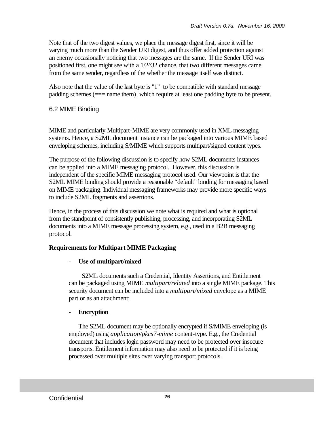Note that of the two digest values, we place the message digest first, since it will be varying much more than the Sender URI digest, and thus offer added protection against an enemy occasionally noticing that two messages are the same. If the Sender URI was positioned first, one might see with a 1/2^32 chance, that two different messages came from the same sender, regardless of the whether the message itself was distinct.

Also note that the value of the last byte is "1" to be compatible with standard message padding schemes (=== name them), which require at least one padding byte to be present.

## 6.2 MIME Binding

MIME and particularly Multipart-MIME are very commonly used in XML messaging systems. Hence, a S2ML document instance can be packaged into various MIME based enveloping schemes, including S/MIME which supports multipart/signed content types.

The purpose of the following discussion is to specify how S2ML documents instances can be applied into a MIME messaging protocol. However, this discussion is independent of the specific MIME messaging protocol used. Our viewpoint is that the S2ML MIME binding should provide a reasonable "default" binding for messaging based on MIME packaging. Individual messaging frameworks may provide more specific ways to include S2ML fragments and assertions.

Hence, in the process of this discussion we note what is required and what is optional from the standpoint of consistently publishing, processing, and incorporating S2ML documents into a MIME message processing system, e.g., used in a B2B messaging protocol.

## **Requirements for Multipart MIME Packaging**

#### Use of multipart/mixed

 S2ML documents such a Credential, Identity Assertions, and Entitlement can be packaged using MIME *multipart/related* into a single MIME package. This security document can be included into a *multipart/mixed* envelope as a MIME part or as an attachment;

#### - **Encryption**

The S2ML document may be optionally encrypted if S/MIME enveloping (is employed) using *application/pkcs7-mime* content-type. E.g., the Credential document that includes login password may need to be protected over insecure transports. Entitlement information may also need to be protected if it is being processed over multiple sites over varying transport protocols.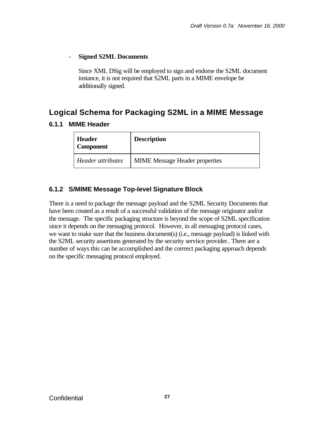#### - **Signed S2ML Documents**

Since XML DSig will be employed to sign and endorse the S2ML document instance, it is not required that S2ML parts in a MIME envelope be additionally signed.

## **Logical Schema for Packaging S2ML in a MIME Message**

#### **6.1.1 MIME Header**

| <b>Header</b><br><b>Component</b> | <b>Description</b>                    |
|-----------------------------------|---------------------------------------|
| Header attributes                 | <b>MIME</b> Message Header properties |

## **6.1.2 S/MIME Message Top-level Signature Block**

There is a need to package the message payload and the S2ML Security Documents that have been created as a result of a successful validation of the message originator and/or the message. The specific packaging structure is beyond the scope of S2ML specification since it depends on the messaging protocol. However, in all messaging protocol cases, we want to make sure that the business document(s) (i.e., message payload) is linked with the S2ML security assertions generated by the security serviice provider.. There are a number of ways this can be accomplished and the corrrect packaging approach depends on the specific messaging protocol employed.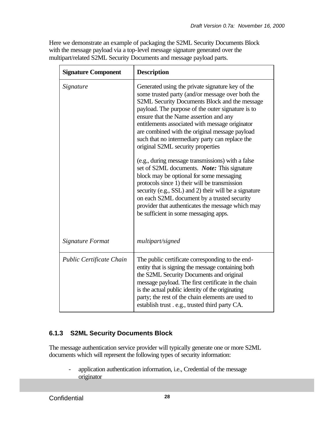Here we demonstrate an example of packaging the S2ML Security Documents Block with the message payload via a top-level message signature generated over the multipart/related S2ML Security Documents and message payload parts.

| <b>Signature Component</b>      | <b>Description</b>                                                                                                                                                                                                                                                                                                                                                                                                                                |
|---------------------------------|---------------------------------------------------------------------------------------------------------------------------------------------------------------------------------------------------------------------------------------------------------------------------------------------------------------------------------------------------------------------------------------------------------------------------------------------------|
| Signature                       | Generated using the private signature key of the<br>some trusted party (and/or message over both the<br>S2ML Security Documents Block and the message<br>payload. The purpose of the outer signature is to<br>ensure that the Name assertion and any<br>entitlements associated with message originator<br>are combined with the original message payload<br>such that no intermediary party can replace the<br>original S2ML security properties |
|                                 | (e.g., during message transmissions) with a false<br>set of S2ML documents. Note: This signature<br>block may be optional for some messaging<br>protocols since 1) their will be transmission<br>security (e.g., SSL) and 2) their will be a signature<br>on each S2ML document by a trusted security<br>provider that authenticates the message which may<br>be sufficient in some messaging apps.                                               |
| Signature Format                | multipart/signed                                                                                                                                                                                                                                                                                                                                                                                                                                  |
| <b>Public Certificate Chain</b> | The public certificate corresponding to the end-<br>entity that is signing the message containing both<br>the S2ML Security Documents and original<br>message payload. The first certificate in the chain<br>is the actual public identity of the originating<br>party; the rest of the chain elements are used to<br>establish trust . e.g., trusted third party CA.                                                                             |

## **6.1.3 S2ML Security Documents Block**

The message authentication service provider will typically generate one or more S2ML documents which will represent the following types of security information:

- application authentication information, i.e., Credential of the message originator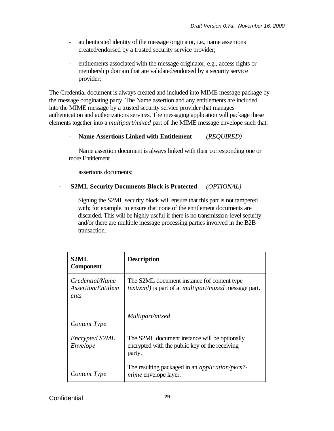- authenticated identity of the message originator, i.e., name assertions created/endorsed by a trusted security service provider;
- entitlements associated with the message originator, e.g., access rights or membership domain that are validated/endorsed by a security service provider;

The Credential document is always created and included into MIME message package by the message oroginating party. The Name assertion and any entitlements are included into the MIME message by a trusted security service provider that manages authentication and authorizations services. The messaging application will package these elements together into a *multipart/mixed* part of the MIME message envelope such that:

## - **Name Assertions Linked with Entitlement** *(REQUIRED)*

Name assertion document is always linked with their corresponding one or more Entitlement

assertions documents;

#### **- S2ML Security Documents Block is Protected** *(OPTIONAL)*

Signing the S2ML security block will ensure that this part is not tampered with; for example, to ensure that none of the entitlement documents are discarded. This will be highly useful if there is no transmission-level security and/or there are multiple message processing parties involved in the B2B transaction.

| S2ML<br><b>Component</b>                      | <b>Description</b>                                                                                                  |  |
|-----------------------------------------------|---------------------------------------------------------------------------------------------------------------------|--|
| Credential/Name<br>Assertion/Entitlem<br>ents | The S2ML document instance (of content type)<br><i>text/xml</i> ) is part of a <i>multipart/mixed</i> message part. |  |
| Content Type                                  | Multipart/mixed                                                                                                     |  |
| <b>Encrypted S2ML</b><br>Envelope             | The S2ML document instance will be optionally<br>encrypted with the public key of the receiving<br>party.           |  |
| Content Type                                  | The resulting packaged in an <i>application/pkcs7</i> -<br><i>mime</i> envelope layer.                              |  |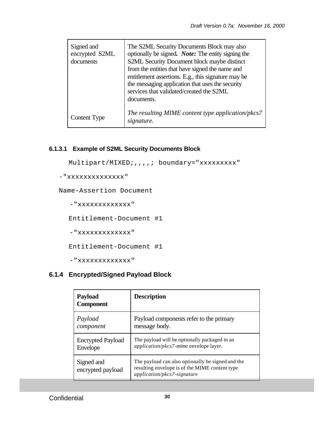| Signed and<br>encrypted S2ML<br>documents | The S2ML Security Documents Block may also<br>optionally be signed. <i>Note:</i> The entity signing the<br>S2ML Security Document block maybe distinct<br>from the entities that have signed the name and<br>entitlement assertions. E.g., this signature may be<br>the messaging application that uses the security<br>services that validated/created the S2ML<br>documents. |
|-------------------------------------------|--------------------------------------------------------------------------------------------------------------------------------------------------------------------------------------------------------------------------------------------------------------------------------------------------------------------------------------------------------------------------------|
| Content Type                              | The resulting MIME content type application/pkcs7<br>signature.                                                                                                                                                                                                                                                                                                                |

#### **6.1.3.1 Example of S2ML Security Documents Block**

```
Multipart/MIXED;,,,,; boundary="xxxxxxxxx"
```

```
-"xxxxxxxxxxxxxx"
```
Name-Assertion Document

```
 -"xxxxxxxxxxxxx"
```
Entitlement-Document #1

-"xxxxxxxxxxxxx"

Entitlement-Document #1

-"xxxxxxxxxxxxx"

## **6.1.4 Encrypted/Signed Payload Block**

| <b>Payload</b><br><b>Component</b> | <b>Description</b>                                                                                                                 |
|------------------------------------|------------------------------------------------------------------------------------------------------------------------------------|
| Payload                            | Payload components refer to the primary                                                                                            |
| component                          | message body.                                                                                                                      |
| <b>Encrypted Payload</b>           | The payload will be optionally packaged in an                                                                                      |
| Envelope                           | application/pkcs7-mime envelope layer.                                                                                             |
| Signed and<br>encrypted payload    | The payload can also optionally be signed and the<br>resulting envelope is of the MIME content type<br>application/pkcs7-signature |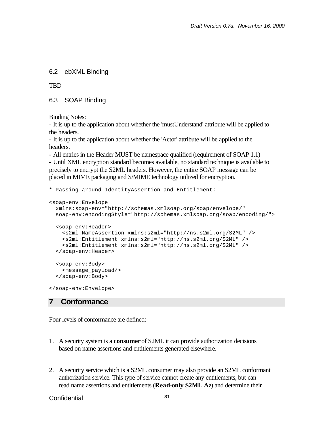#### 6.2 ebXML Binding

**TBD** 

6.3 SOAP Binding

Binding Notes:

- It is up to the application about whether the 'mustUnderstand' attribute will be applied to the headers.

- It is up to the application about whether the 'Actor' attribute will be applied to the headers.

- All entries in the Header MUST be namespace qualified (requirement of SOAP 1.1)

- Until XML encryption standard becomes available, no standard technique is available to precisely to encrypt the S2ML headers. However, the entire SOAP message can be placed in MIME packaging and S/MIME technology utilized for encryption.

```
* Passing around IdentityAssertion and Entitlement:
<soap-env:Envelope
  xmlns:soap-env="http://schemas.xmlsoap.org/soap/envelope/"
   soap-env:encodingStyle="http://schemas.xmlsoap.org/soap/encoding/">
   <soap-env:Header>
     <s2ml:NameAssertion xmlns:s2ml="http://ns.s2ml.org/S2ML" />
     <s2ml:Entitlement xmlns:s2ml="http://ns.s2ml.org/S2ML" />
     <s2ml:Entitlement xmlns:s2ml="http://ns.s2ml.org/S2ML" />
   </soap-env:Header> 
   <soap-env:Body>
     <message_payload/>
   </soap-env:Body>
</soap-env:Envelope>
```
#### **7 Conformance**

Four levels of conformance are defined:

- 1. A security system is a **consumer** of S2ML it can provide authorization decisions based on name assertions and entitlements generated elsewhere.
- 2. A security service which is a S2ML consumer may also provide an S2ML conformant authorization service. This type of service cannot create any entitlements, but can read name assertions and entitlements (**Read-only S2ML Az**) and determine their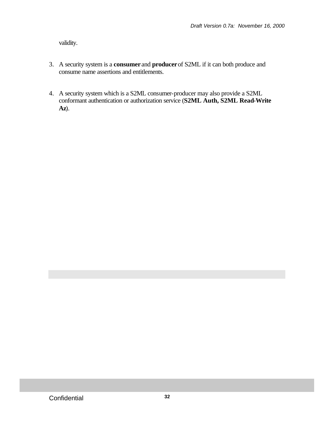validity.

- 3. A security system is a **consumer** and **producer** of S2ML if it can both produce and consume name assertions and entitlements.
- 4. A security system which is a S2ML consumer-producer may also provide a S2ML conformant authentication or authorization service (**S2ML Auth, S2ML Read-Write Az**).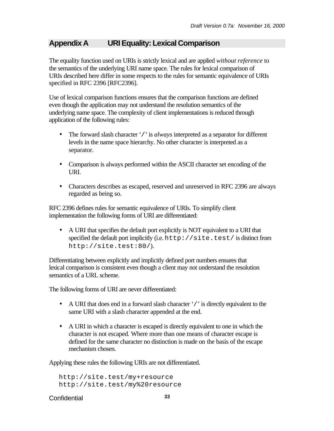## **Appendix A URI Equality: Lexical Comparison**

The equality function used on URIs is strictly lexical and are applied *without reference* to the semantics of the underlying URI name space. The rules for lexical comparison of URIs described here differ in some respects to the rules for semantic equivalence of URIs specified in RFC 2396 [RFC2396].

Use of lexical comparison functions ensures that the comparison functions are defined even though the application may not understand the resolution semantics of the underlying name space. The complexity of client implementations is reduced through application of the following rules:

- The forward slash character '/' is *always* interpreted as a separator for different levels in the name space hierarchy. No other character is interpreted as a separator.
- Comparison is always performed within the ASCII character set encoding of the URI.
- Characters describes as escaped, reserved and unreserved in RFC 2396 are always regarded as being so.

RFC 2396 defines rules for semantic equivalence of URIs. To simplify client implementation the following forms of URI are differentiated:

• A URI that specifies the default port explicitly is NOT equivalent to a URI that specified the default port implicitly (i.e.  $http://site.test/$  is distinct from http://site.test:80/).

Differentiating between explicitly and implicitly defined port numbers ensures that lexical comparison is consistent even though a client may not understand the resolution semantics of a URL scheme.

The following forms of URI are never differentiated:

- A URI that does end in a forward slash character '/' is directly equivalent to the same URI with a slash character appended at the end.
- A URI in which a character is escaped is directly equivalent to one in which the character is not escaped. Where more than one means of character escape is defined for the same character no distinction is made on the basis of the escape mechanism chosen.

Applying these rules the following URIs are not differentiated.

http://site.test/my+resource http://site.test/my%20resource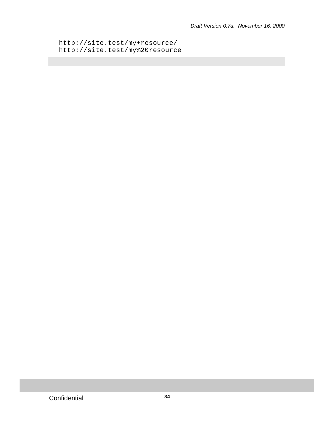```
http://site.test/my+resource/
http://site.test/my%20resource
```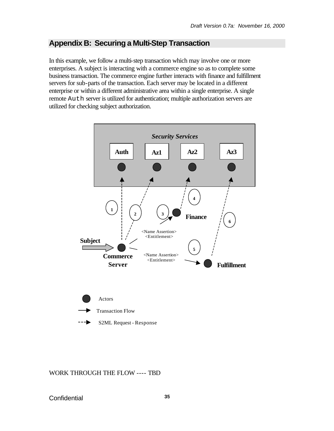## **Appendix B: Securing a Multi-Step Transaction**

In this example, we follow a multi-step transaction which may involve one or more enterprises. A subject is interacting with a commerce engine so as to complete some business transaction. The commerce engine further interacts with finance and fulfillment servers for sub-parts of the transaction. Each server may be located in a different enterprise or within a different administrative area within a single enterprise. A single remote Auth server is utilized for authentication; multiple authorization servers are utilized for checking subject authorization.



S2ML Request - Response

WORK THROUGH THE FLOW ---- TBD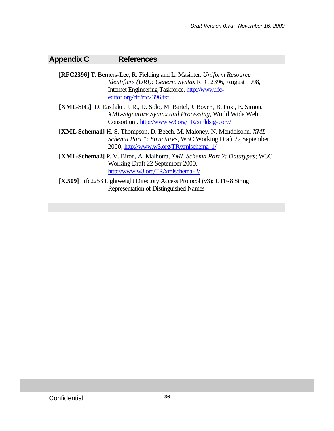## **Appendix C References**

- **[RFC2396]** T. Berners-Lee, R. Fielding and L. Masinter. *Uniform Resource Identifiers (URI): Generic Syntax* RFC 2396, August 1998, Internet Engineering Taskforce. http://www.rfceditor.org/rfc/rfc2396.txt.
- **[XML-SIG]** D. Eastlake, J. R., D. Solo, M. Bartel, J. Boyer , B. Fox , E. Simon. *XML-Signature Syntax and Processing*, World Wide Web Consortium. http://www.w3.org/TR/xmldsig-core/
- **[XML-Schema1]** H. S. Thompson, D. Beech, M. Maloney, N. Mendelsohn. *XML Schema Part 1: Structures*, W3C Working Draft 22 September 2000, http://www.w3.org/TR/xmlschema-1/
- **[XML-Schema2]** P. V. Biron, A. Malhotra, *XML Schema Part 2: Datatypes*; W3C Working Draft 22 September 2000, http://www.w3.org/TR/xmlschema-2/
- **[X.509]** rfc2253 Lightweight Directory Access Protocol (v3): UTF-8 String Representation of Distinguished Names